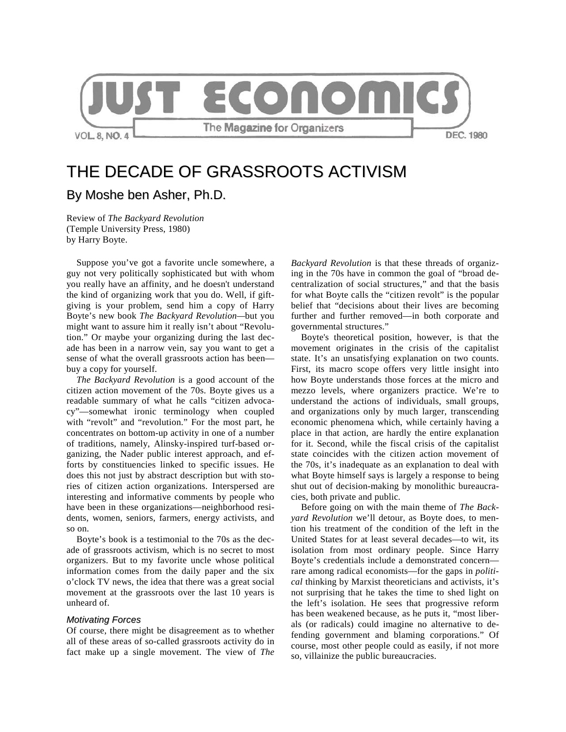

# THE DECADE OF GRASSROOTS ACTIVISM By Moshe ben Asher, Ph.D.

Review of *The Backyard Revolution* (Temple University Press, 1980) by Harry Boyte.

Suppose you've got a favorite uncle somewhere, a guy not very politically sophisticated but with whom you really have an affinity, and he doesn't understand the kind of organizing work that you do. Well, if giftgiving is your problem, send him a copy of Harry Boyte's new book *The Backyard Revolution—*but you might want to assure him it really isn't about "Revolution." Or maybe your organizing during the last decade has been in a narrow vein, say you want to get a sense of what the overall grassroots action has been buy a copy for yourself.

*The Backyard Revolution* is a good account of the citizen action movement of the 70s. Boyte gives us a readable summary of what he calls "citizen advocacy"—somewhat ironic terminology when coupled with "revolt" and "revolution." For the most part, he concentrates on bottom-up activity in one of a number of traditions, namely, Alinsky-inspired turf-based organizing, the Nader public interest approach, and efforts by constituencies linked to specific issues. He does this not just by abstract description but with stories of citizen action organizations. Interspersed are interesting and informative comments by people who have been in these organizations—neighborhood residents, women, seniors, farmers, energy activists, and so on.

Boyte's book is a testimonial to the 70s as the decade of grassroots activism, which is no secret to most organizers. But to my favorite uncle whose political information comes from the daily paper and the six o'clock TV news, the idea that there was a great social movement at the grassroots over the last 10 years is unheard of.

#### *Motivating Forces*

Of course, there might be disagreement as to whether all of these areas of so-called grassroots activity do in fact make up a single movement. The view of *The*  *Backyard Revolution* is that these threads of organizing in the 70s have in common the goal of "broad decentralization of social structures," and that the basis for what Boyte calls the "citizen revolt" is the popular belief that "decisions about their lives are becoming further and further removed—in both corporate and governmental structures."

Boyte's theoretical position, however, is that the movement originates in the crisis of the capitalist state. It's an unsatisfying explanation on two counts. First, its macro scope offers very little insight into how Boyte understands those forces at the micro and mezzo levels, where organizers practice. We're to understand the actions of individuals, small groups, and organizations only by much larger, transcending economic phenomena which, while certainly having a place in that action, are hardly the entire explanation for it. Second, while the fiscal crisis of the capitalist state coincides with the citizen action movement of the 70s, it's inadequate as an explanation to deal with what Boyte himself says is largely a response to being shut out of decision-making by monolithic bureaucracies, both private and public*.*

Before going on with the main theme of *The Backyard Revolution* we'll detour, as Boyte does, to mention his treatment of the condition of the left in the United States for at least several decades—to wit, its isolation from most ordinary people. Since Harry Boyte's credentials include a demonstrated concern rare among radical economists—for the gaps in *political* thinking by Marxist theoreticians and activists, it's not surprising that he takes the time to shed light on the left's isolation. He sees that progressive reform has been weakened because, as he puts it, "most liberals (or radicals) could imagine no alternative to defending government and blaming corporations." Of course, most other people could as easily, if not more so, villainize the public bureaucracies.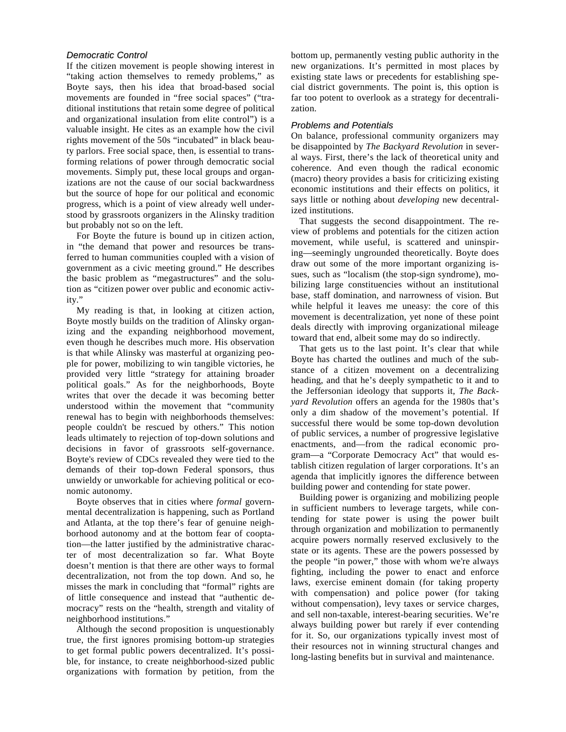## *Democratic Control*

If the citizen movement is people showing interest in "taking action themselves to remedy problems," as Boyte says, then his idea that broad-based social movements are founded in "free social spaces" ("traditional institutions that retain some degree of political and organizational insulation from elite control") is a valuable insight. He cites as an example how the civil rights movement of the 50s "incubated" in black beauty parlors. Free social space, then, is essential to transforming relations of power through democratic social movements. Simply put, these local groups and organizations are not the cause of our social backwardness but the source of hope for our political and economic progress, which is a point of view already well understood by grassroots organizers in the Alinsky tradition but probably not so on the left.

For Boyte the future is bound up in citizen action, in "the demand that power and resources be transferred to human communities coupled with a vision of government as a civic meeting ground." He describes the basic problem as "megastructures" and the solution as "citizen power over public and economic activity."

My reading is that, in looking at citizen action, Boyte mostly builds on the tradition of Alinsky organizing and the expanding neighborhood movement, even though he describes much more. His observation is that while Alinsky was masterful at organizing people for power, mobilizing to win tangible victories, he provided very little "strategy for attaining broader political goals." As for the neighborhoods, Boyte writes that over the decade it was becoming better understood within the movement that "community renewal has to begin with neighborhoods themselves: people couldn't be rescued by others." This notion leads ultimately to rejection of top-down solutions and decisions in favor of grassroots self-governance. Boyte's review of CDCs revealed they were tied to the demands of their top-down Federal sponsors, thus unwieldy or unworkable for achieving political or economic autonomy.

Boyte observes that in cities where *formal* governmental decentralization is happening, such as Portland and Atlanta, at the top there's fear of genuine neighborhood autonomy and at the bottom fear of cooptation—the latter justified by the administrative character of most decentralization so far. What Boyte doesn't mention is that there are other ways to formal decentralization, not from the top down. And so, he misses the mark in concluding that "formal" rights are of little consequence and instead that "authentic democracy" rests on the "health, strength and vitality of neighborhood institutions."

Although the second proposition is unquestionably true, the first ignores promising bottom-up strategies to get formal public powers decentralized. It's possible, for instance, to create neighborhood-sized public organizations with formation by petition, from the bottom up, permanently vesting public authority in the new organizations. It's permitted in most places by existing state laws or precedents for establishing special district governments. The point is, this option is far too potent to overlook as a strategy for decentralization.

#### *Problems and Potentials*

On balance, professional community organizers may be disappointed by *The Backyard Revolution* in several ways. First, there's the lack of theoretical unity and coherence. And even though the radical economic (macro) theory provides a basis for criticizing existing economic institutions and their effects on politics, it says little or nothing about *developing* new decentralized institutions.

That suggests the second disappointment. The review of problems and potentials for the citizen action movement, while useful, is scattered and uninspiring—seemingly ungrounded theoretically. Boyte does draw out some of the more important organizing issues, such as "localism (the stop-sign syndrome), mobilizing large constituencies without an institutional base, staff domination, and narrowness of vision. But while helpful it leaves me uneasy: the core of this movement is decentralization, yet none of these point deals directly with improving organizational mileage toward that end, albeit some may do so indirectly.

That gets us to the last point. It's clear that while Boyte has charted the outlines and much of the substance of a citizen movement on a decentralizing heading, and that he's deeply sympathetic to it and to the Jeffersonian ideology that supports it*, The Backyard Revolution* offers an agenda for the 1980s that's only a dim shadow of the movement's potential. If successful there would be some top-down devolution of public services, a number of progressive legislative enactments, and—from the radical economic program—a "Corporate Democracy Act" that would establish citizen regulation of larger corporations. It's an agenda that implicitly ignores the difference between building power and contending for state power.

Building power is organizing and mobilizing people in sufficient numbers to leverage targets, while contending for state power is using the power built through organization and mobilization to permanently acquire powers normally reserved exclusively to the state or its agents. These are the powers possessed by the people "in power," those with whom we're always fighting, including the power to enact and enforce laws, exercise eminent domain (for taking property with compensation) and police power (for taking without compensation), levy taxes or service charges, and sell non-taxable, interest-bearing securities. We're always building power but rarely if ever contending for it. So, our organizations typically invest most of their resources not in winning structural changes and long-lasting benefits but in survival and maintenance.